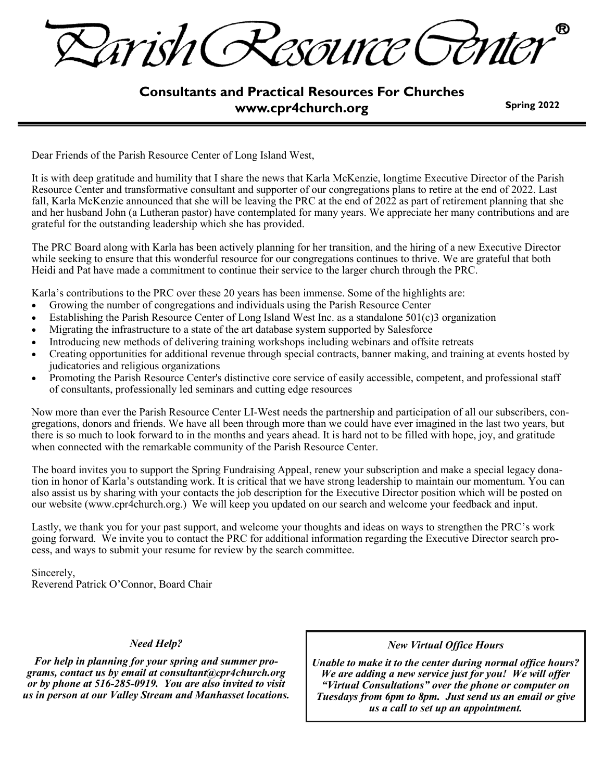Trish( CSOUYCE CT

# **Consultants and Practical Resources For Churches www.cpr4church.org**

**Spring 2022**

Dear Friends of the Parish Resource Center of Long Island West,

It is with deep gratitude and humility that I share the news that Karla McKenzie, longtime Executive Director of the Parish Resource Center and transformative consultant and supporter of our congregations plans to retire at the end of 2022. Last fall, Karla McKenzie announced that she will be leaving the PRC at the end of 2022 as part of retirement planning that she and her husband John (a Lutheran pastor) have contemplated for many years. We appreciate her many contributions and are grateful for the outstanding leadership which she has provided.

The PRC Board along with Karla has been actively planning for her transition, and the hiring of a new Executive Director while seeking to ensure that this wonderful resource for our congregations continues to thrive. We are grateful that both Heidi and Pat have made a commitment to continue their service to the larger church through the PRC.

Karla's contributions to the PRC over these 20 years has been immense. Some of the highlights are:

- Growing the number of congregations and individuals using the Parish Resource Center
- Establishing the Parish Resource Center of Long Island West Inc. as a standalone 501(c)3 organization
- Migrating the infrastructure to a state of the art database system supported by Salesforce
- Introducing new methods of delivering training workshops including webinars and offsite retreats
- Creating opportunities for additional revenue through special contracts, banner making, and training at events hosted by judicatories and religious organizations
- Promoting the Parish Resource Center's distinctive core service of easily accessible, competent, and professional staff of consultants, professionally led seminars and cutting edge resources

Now more than ever the Parish Resource Center LI-West needs the partnership and participation of all our subscribers, congregations, donors and friends. We have all been through more than we could have ever imagined in the last two years, but there is so much to look forward to in the months and years ahead. It is hard not to be filled with hope, joy, and gratitude when connected with the remarkable community of the Parish Resource Center.

The board invites you to support the Spring Fundraising Appeal, renew your subscription and make a special legacy donation in honor of Karla's outstanding work. It is critical that we have strong leadership to maintain our momentum. You can also assist us by sharing with your contacts the job description for the Executive Director position which will be posted on our website (www.cpr4church.org.) We will keep you updated on our search and welcome your feedback and input.

Lastly, we thank you for your past support, and welcome your thoughts and ideas on ways to strengthen the PRC's work going forward. We invite you to contact the PRC for additional information regarding the Executive Director search process, and ways to submit your resume for review by the search committee.

Sincerely, Reverend Patrick O'Connor, Board Chair

#### *Need Help?*

*For help in planning for your spring and summer programs, contact us by email at consultant@cpr4church.org or by phone at 516-285-0919. You are also invited to visit us in person at our Valley Stream and Manhasset locations.*

#### *New Virtual Office Hours*

*Unable to make it to the center during normal office hours? We are adding a new service just for you! We will offer "Virtual Consultations" over the phone or computer on Tuesdays from 6pm to 8pm. Just send us an email or give us a call to set up an appointment.*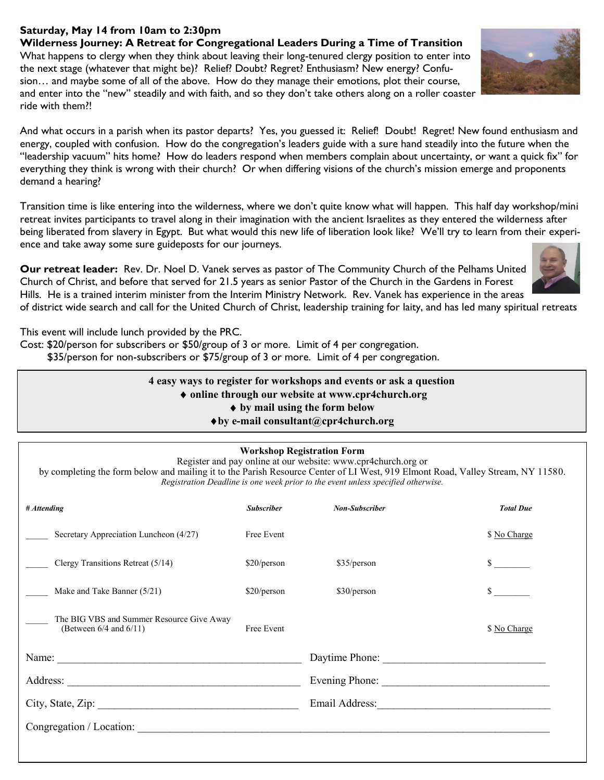## **Saturday, May 14 from 10am to 2:30pm**

**Wilderness Journey: A Retreat for Congregational Leaders During a Time of Transition** What happens to clergy when they think about leaving their long-tenured clergy position to enter into the next stage (whatever that might be)? Relief? Doubt? Regret? Enthusiasm? New energy? Confusion… and maybe some of all of the above. How do they manage their emotions, plot their course, and enter into the "new" steadily and with faith, and so they don't take others along on a roller coaster ride with them?!

And what occurs in a parish when its pastor departs? Yes, you guessed it: Relief! Doubt! Regret! New found enthusiasm and energy, coupled with confusion. How do the congregation's leaders guide with a sure hand steadily into the future when the "leadership vacuum" hits home? How do leaders respond when members complain about uncertainty, or want a quick fix" for everything they think is wrong with their church? Or when differing visions of the church's mission emerge and proponents demand a hearing?

Transition time is like entering into the wilderness, where we don't quite know what will happen. This half day workshop/mini retreat invites participants to travel along in their imagination with the ancient Israelites as they entered the wilderness after being liberated from slavery in Egypt. But what would this new life of liberation look like? We'll try to learn from their experience and take away some sure guideposts for our journeys.

**Our retreat leader:** Rev. Dr. Noel D. Vanek serves as pastor of The Community Church of the Pelhams United Church of Christ, and before that served for 21.5 years as senior Pastor of the Church in the Gardens in Forest Hills. He is a trained interim minister from the Interim Ministry Network. Rev. Vanek has experience in the areas

of district wide search and call for the United Church of Christ, leadership training for laity, and has led many spiritual retreats

This event will include lunch provided by the PRC.

Cost: \$20/person for subscribers or \$50/group of 3 or more. Limit of 4 per congregation.

\$35/person for non-subscribers or \$75/group of 3 or more. Limit of 4 per congregation.

**4 easy ways to register for workshops and events or ask a question online through our website at www.cpr4church.org by mail using the form below by e-mail consultant@cpr4church.org**

|                                                                                                                                                                                                                                |                   | Registration Deadline is one week prior to the event unless specified otherwise. |                  |
|--------------------------------------------------------------------------------------------------------------------------------------------------------------------------------------------------------------------------------|-------------------|----------------------------------------------------------------------------------|------------------|
| # Attending                                                                                                                                                                                                                    | <b>Subscriber</b> | <b>Non-Subscriber</b>                                                            | <b>Total Due</b> |
| Secretary Appreciation Luncheon (4/27)                                                                                                                                                                                         | Free Event        |                                                                                  | \$ No Charge     |
| Clergy Transitions Retreat (5/14)                                                                                                                                                                                              | \$20/person       | \$35/person                                                                      |                  |
| Make and Take Banner (5/21)                                                                                                                                                                                                    | \$20/person       | \$30/person                                                                      | $\mathbb{S}$     |
| The BIG VBS and Summer Resource Give Away<br>(Between $6/4$ and $6/11$ )                                                                                                                                                       | Free Event        |                                                                                  | \$ No Charge     |
|                                                                                                                                                                                                                                |                   |                                                                                  |                  |
|                                                                                                                                                                                                                                |                   |                                                                                  |                  |
| City, State, Zip:                                                                                                                                                                                                              |                   |                                                                                  |                  |
| Congregation / Location: New York 1997 and 2008 and 2008 and 2008 and 2008 and 2008 and 2008 and 2008 and 2008 and 2008 and 2008 and 2008 and 2008 and 2008 and 2008 and 2008 and 2008 and 2008 and 2008 and 2008 and 2008 and |                   |                                                                                  |                  |



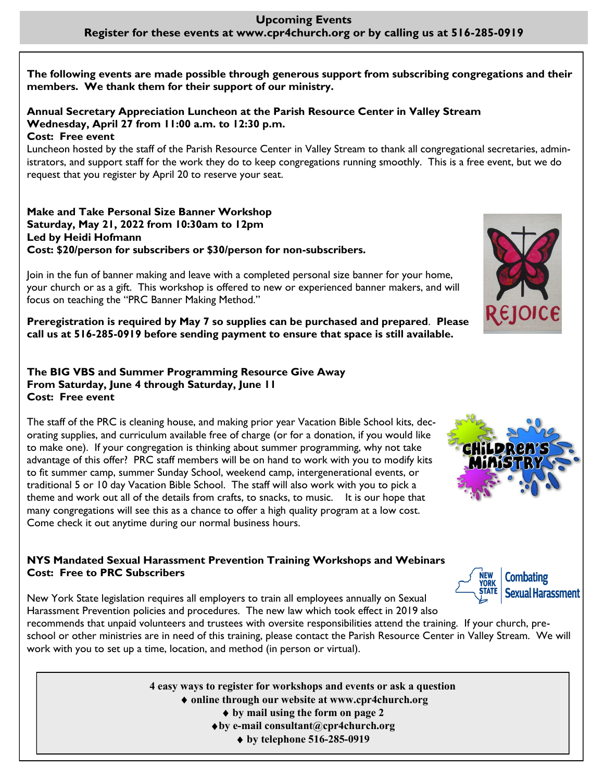## **Upcoming Events Register for these events at www.cpr4church.org or by calling us at 516-285-0919**

**The following events are made possible through generous support from subscribing congregations and their members. We thank them for their support of our ministry.**

# **Annual Secretary Appreciation Luncheon at the Parish Resource Center in Valley Stream Wednesday, April 27 from 11:00 a.m. to 12:30 p.m.**

**Cost: Free event**

Luncheon hosted by the staff of the Parish Resource Center in Valley Stream to thank all congregational secretaries, administrators, and support staff for the work they do to keep congregations running smoothly. This is a free event, but we do request that you register by April 20 to reserve your seat.

**Make and Take Personal Size Banner Workshop Saturday, May 21, 2022 from 10:30am to 12pm Led by Heidi Hofmann Cost: \$20/person for subscribers or \$30/person for non-subscribers.** 



Join in the fun of banner making and leave with a completed personal size banner for your home, your church or as a gift. This workshop is offered to new or experienced banner makers, and will focus on teaching the "PRC Banner Making Method."

**Preregistration is required by May 7 so supplies can be purchased and prepared**. **Please call us at 516-285-0919 before sending payment to ensure that space is still available.**

#### **The BIG VBS and Summer Programming Resource Give Away From Saturday, June 4 through Saturday, June 11 Cost: Free event**

The staff of the PRC is cleaning house, and making prior year Vacation Bible School kits, decorating supplies, and curriculum available free of charge (or for a donation, if you would like to make one). If your congregation is thinking about summer programming, why not take advantage of this offer? PRC staff members will be on hand to work with you to modify kits to fit summer camp, summer Sunday School, weekend camp, intergenerational events, or traditional 5 or 10 day Vacation Bible School. The staff will also work with you to pick a theme and work out all of the details from crafts, to snacks, to music. It is our hope that many congregations will see this as a chance to offer a high quality program at a low cost. Come check it out anytime during our normal business hours.

## **NYS Mandated Sexual Harassment Prevention Training Workshops and Webinars Cost: Free to PRC Subscribers**

New York State legislation requires all employers to train all employees annually on Sexual Harassment Prevention policies and procedures. The new law which took effect in 2019 also

recommends that unpaid volunteers and trustees with oversite responsibilities attend the training. If your church, preschool or other ministries are in need of this training, please contact the Parish Resource Center in Valley Stream. We will work with you to set up a time, location, and method (in person or virtual).

> **4 easy ways to register for workshops and events or ask a question online through our website at www.cpr4church.org by mail using the form on page 2 by e-mail consultant@cpr4church.org by telephone 516-285-0919**